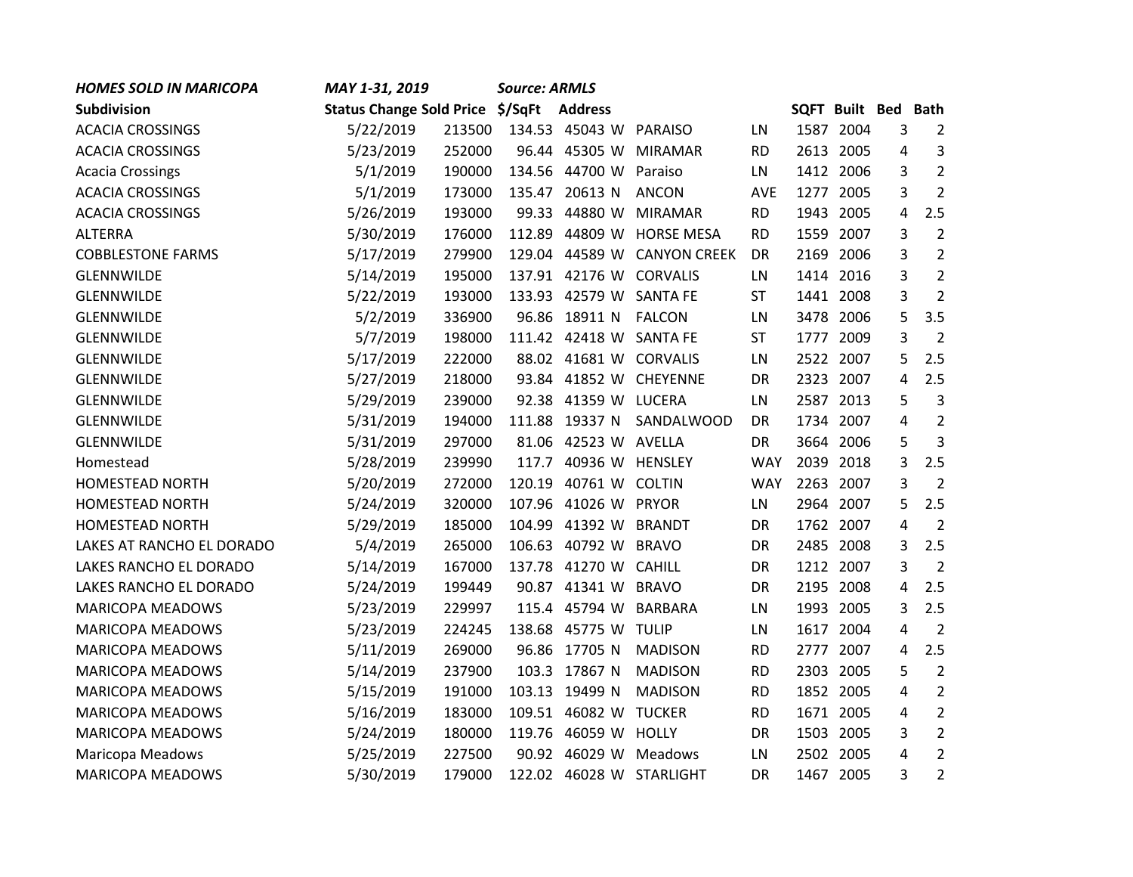| <b>HOMES SOLD IN MARICOPA</b> | MAY 1-31, 2019                   |        | <b>Source: ARMLS</b> |                      |                             |            |                            |           |   |                |
|-------------------------------|----------------------------------|--------|----------------------|----------------------|-----------------------------|------------|----------------------------|-----------|---|----------------|
| <b>Subdivision</b>            | Status Change Sold Price \$/SqFt |        |                      | <b>Address</b>       |                             |            | <b>SQFT Built Bed Bath</b> |           |   |                |
| <b>ACACIA CROSSINGS</b>       | 5/22/2019                        | 213500 |                      | 134.53 45043 W       | <b>PARAISO</b>              | LN         |                            | 1587 2004 | 3 | $\overline{2}$ |
| <b>ACACIA CROSSINGS</b>       | 5/23/2019                        | 252000 |                      | 96.44 45305 W        | <b>MIRAMAR</b>              | <b>RD</b>  |                            | 2613 2005 | 4 | 3              |
| <b>Acacia Crossings</b>       | 5/1/2019                         | 190000 |                      | 134.56 44700 W       | Paraiso                     | LN         |                            | 1412 2006 | 3 | $\overline{2}$ |
| <b>ACACIA CROSSINGS</b>       | 5/1/2019                         | 173000 |                      | 135.47 20613 N       | <b>ANCON</b>                | <b>AVE</b> |                            | 1277 2005 | 3 | $\overline{2}$ |
| <b>ACACIA CROSSINGS</b>       | 5/26/2019                        | 193000 |                      | 99.33 44880 W        | <b>MIRAMAR</b>              | <b>RD</b>  |                            | 1943 2005 | 4 | 2.5            |
| <b>ALTERRA</b>                | 5/30/2019                        | 176000 |                      | 112.89 44809 W       | <b>HORSE MESA</b>           | <b>RD</b>  |                            | 1559 2007 | 3 | $\overline{2}$ |
| <b>COBBLESTONE FARMS</b>      | 5/17/2019                        | 279900 | 129.04               | 44589 W              | <b>CANYON CREEK</b>         | DR         |                            | 2169 2006 | 3 | $\overline{2}$ |
| GLENNWILDE                    | 5/14/2019                        | 195000 |                      | 137.91 42176 W       | <b>CORVALIS</b>             | LN         |                            | 1414 2016 | 3 | $\overline{2}$ |
| <b>GLENNWILDE</b>             | 5/22/2019                        | 193000 |                      | 133.93 42579 W       | <b>SANTA FE</b>             | <b>ST</b>  |                            | 1441 2008 | 3 | $\overline{2}$ |
| <b>GLENNWILDE</b>             | 5/2/2019                         | 336900 |                      | 96.86 18911 N        | <b>FALCON</b>               | LN         |                            | 3478 2006 | 5 | 3.5            |
| <b>GLENNWILDE</b>             | 5/7/2019                         | 198000 |                      | 111.42 42418 W       | <b>SANTA FE</b>             | ST         |                            | 1777 2009 | 3 | $\overline{2}$ |
| GLENNWILDE                    | 5/17/2019                        | 222000 |                      | 88.02 41681 W        | <b>CORVALIS</b>             | LN         |                            | 2522 2007 | 5 | 2.5            |
| GLENNWILDE                    | 5/27/2019                        | 218000 |                      | 93.84 41852 W        | <b>CHEYENNE</b>             | DR         |                            | 2323 2007 | 4 | 2.5            |
| <b>GLENNWILDE</b>             | 5/29/2019                        | 239000 |                      | 92.38 41359 W LUCERA |                             | LN         |                            | 2587 2013 | 5 | 3              |
| <b>GLENNWILDE</b>             | 5/31/2019                        | 194000 |                      | 111.88 19337 N       | SANDALWOOD                  | DR         |                            | 1734 2007 | 4 | $\overline{2}$ |
| GLENNWILDE                    | 5/31/2019                        | 297000 |                      | 81.06 42523 W        | <b>AVELLA</b>               | DR         |                            | 3664 2006 | 5 | $\overline{3}$ |
| Homestead                     | 5/28/2019                        | 239990 |                      | 117.7 40936 W        | <b>HENSLEY</b>              | <b>WAY</b> | 2039                       | 2018      | 3 | 2.5            |
| <b>HOMESTEAD NORTH</b>        | 5/20/2019                        | 272000 |                      | 120.19 40761 W       | <b>COLTIN</b>               | <b>WAY</b> |                            | 2263 2007 | 3 | $\overline{2}$ |
| <b>HOMESTEAD NORTH</b>        | 5/24/2019                        | 320000 | 107.96               | 41026 W              | <b>PRYOR</b>                | LN         |                            | 2964 2007 | 5 | 2.5            |
| <b>HOMESTEAD NORTH</b>        | 5/29/2019                        | 185000 | 104.99               | 41392 W              | <b>BRANDT</b>               | DR         |                            | 1762 2007 | 4 | $\overline{2}$ |
| LAKES AT RANCHO EL DORADO     | 5/4/2019                         | 265000 |                      | 106.63 40792 W       | <b>BRAVO</b>                | DR         |                            | 2485 2008 | 3 | 2.5            |
| LAKES RANCHO EL DORADO        | 5/14/2019                        | 167000 |                      | 137.78 41270 W       | <b>CAHILL</b>               | DR         |                            | 1212 2007 | 3 | $\overline{2}$ |
| LAKES RANCHO EL DORADO        | 5/24/2019                        | 199449 |                      | 90.87 41341 W        | <b>BRAVO</b>                | DR         |                            | 2195 2008 | 4 | 2.5            |
| <b>MARICOPA MEADOWS</b>       | 5/23/2019                        | 229997 | 115.4                | 45794 W              | <b>BARBARA</b>              | LN         |                            | 1993 2005 | 3 | 2.5            |
| <b>MARICOPA MEADOWS</b>       | 5/23/2019                        | 224245 | 138.68               | 45775 W              | <b>TULIP</b>                | LN         |                            | 1617 2004 | 4 | $\overline{2}$ |
| <b>MARICOPA MEADOWS</b>       | 5/11/2019                        | 269000 | 96.86                | 17705 N              | <b>MADISON</b>              | <b>RD</b>  | 2777                       | 2007      | 4 | 2.5            |
| <b>MARICOPA MEADOWS</b>       | 5/14/2019                        | 237900 |                      | 103.3 17867 N        | <b>MADISON</b>              | <b>RD</b>  |                            | 2303 2005 | 5 | $\overline{2}$ |
| <b>MARICOPA MEADOWS</b>       | 5/15/2019                        | 191000 |                      | 103.13 19499 N       | <b>MADISON</b>              | <b>RD</b>  |                            | 1852 2005 | 4 | $\overline{2}$ |
| <b>MARICOPA MEADOWS</b>       | 5/16/2019                        | 183000 |                      | 109.51 46082 W       | <b>TUCKER</b>               | <b>RD</b>  |                            | 1671 2005 | 4 | $\overline{2}$ |
| <b>MARICOPA MEADOWS</b>       | 5/24/2019                        | 180000 |                      | 119.76 46059 W       | <b>HOLLY</b>                | DR         |                            | 1503 2005 | 3 | $\overline{2}$ |
| Maricopa Meadows              | 5/25/2019                        | 227500 |                      | 90.92 46029 W        | Meadows                     | LN         |                            | 2502 2005 | 4 | $\overline{2}$ |
| <b>MARICOPA MEADOWS</b>       | 5/30/2019                        | 179000 |                      |                      | 122.02  46028  W  STARLIGHT | DR         |                            | 1467 2005 | 3 | $\overline{2}$ |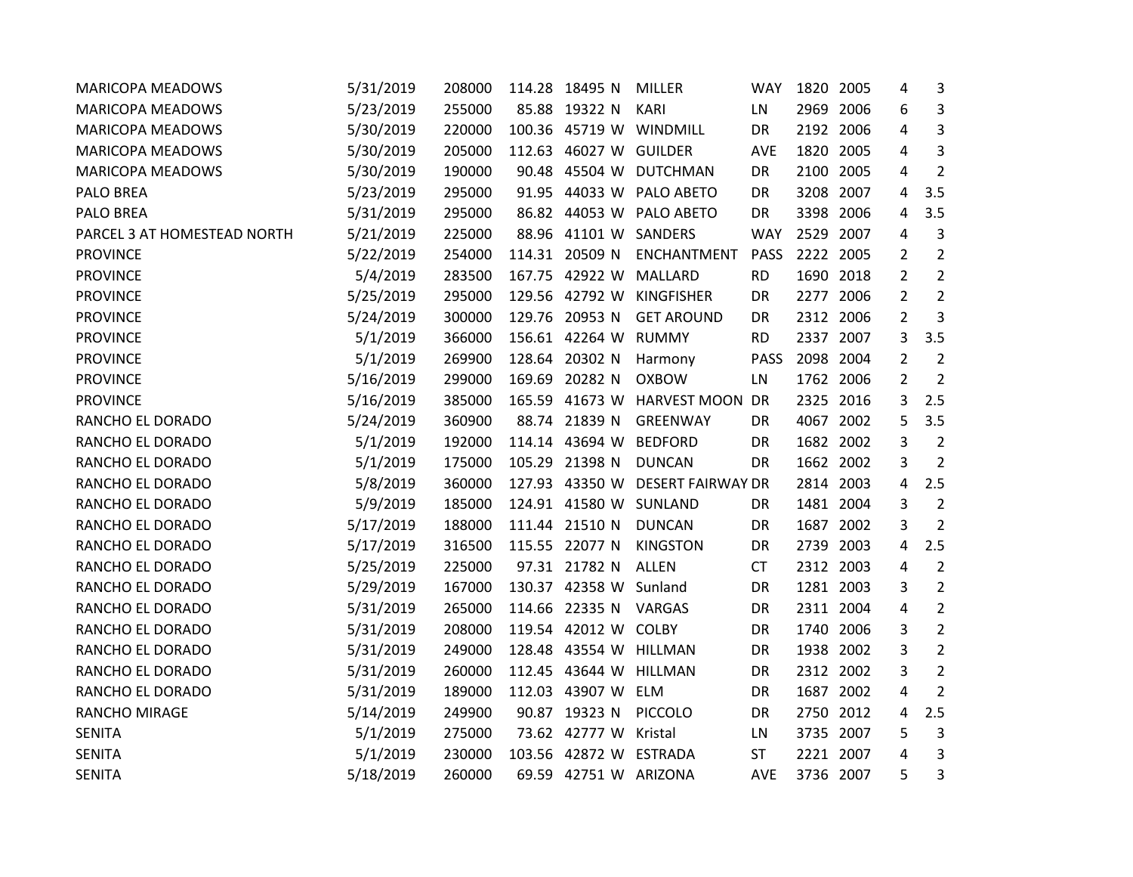| <b>MARICOPA MEADOWS</b>     | 5/31/2019 | 208000 | 114.28 18495 N         | <b>MILLER</b>            | <b>WAY</b>  |           | 1820 2005 | 4              | 3              |
|-----------------------------|-----------|--------|------------------------|--------------------------|-------------|-----------|-----------|----------------|----------------|
| <b>MARICOPA MEADOWS</b>     | 5/23/2019 | 255000 | 85.88 19322 N          | <b>KARI</b>              | LN          |           | 2969 2006 | 6              | 3              |
| <b>MARICOPA MEADOWS</b>     | 5/30/2019 | 220000 | 100.36 45719 W         | WINDMILL                 | DR          |           | 2192 2006 | 4              | 3              |
| <b>MARICOPA MEADOWS</b>     | 5/30/2019 | 205000 | 112.63 46027 W         | <b>GUILDER</b>           | <b>AVE</b>  |           | 1820 2005 | 4              | 3              |
| <b>MARICOPA MEADOWS</b>     | 5/30/2019 | 190000 | 90.48 45504 W          | DUTCHMAN                 | DR          |           | 2100 2005 | 4              | 2              |
| <b>PALO BREA</b>            | 5/23/2019 | 295000 |                        | 91.95 44033 W PALO ABETO | DR          |           | 3208 2007 | 4              | 3.5            |
| PALO BREA                   | 5/31/2019 | 295000 |                        | 86.82 44053 W PALO ABETO | DR          |           | 3398 2006 | 4              | 3.5            |
| PARCEL 3 AT HOMESTEAD NORTH | 5/21/2019 | 225000 | 88.96 41101 W          | SANDERS                  | <b>WAY</b>  |           | 2529 2007 | 4              | 3              |
| <b>PROVINCE</b>             | 5/22/2019 | 254000 | 114.31 20509 N         | ENCHANTMENT              | <b>PASS</b> |           | 2222 2005 | 2              | $\overline{2}$ |
| <b>PROVINCE</b>             | 5/4/2019  | 283500 | 167.75 42922 W         | MALLARD                  | <b>RD</b>   |           | 1690 2018 | $\overline{2}$ | $\overline{2}$ |
| <b>PROVINCE</b>             | 5/25/2019 | 295000 | 129.56 42792 W         | <b>KINGFISHER</b>        | DR          |           | 2277 2006 | $\overline{2}$ | $\overline{2}$ |
| <b>PROVINCE</b>             | 5/24/2019 | 300000 | 129.76 20953 N         | <b>GET AROUND</b>        | DR          |           | 2312 2006 | $\overline{2}$ | 3              |
| <b>PROVINCE</b>             | 5/1/2019  | 366000 | 156.61 42264 W         | <b>RUMMY</b>             | <b>RD</b>   |           | 2337 2007 | 3              | 3.5            |
| <b>PROVINCE</b>             | 5/1/2019  | 269900 | 128.64 20302 N         | Harmony                  | <b>PASS</b> | 2098 2004 |           | $\overline{2}$ | $\overline{2}$ |
| <b>PROVINCE</b>             | 5/16/2019 | 299000 | 169.69 20282 N         | <b>OXBOW</b>             | LN          |           | 1762 2006 | $\overline{2}$ | $\overline{2}$ |
| <b>PROVINCE</b>             | 5/16/2019 | 385000 | 165.59 41673 W         | <b>HARVEST MOON</b>      | DR          |           | 2325 2016 | 3              | 2.5            |
| RANCHO EL DORADO            | 5/24/2019 | 360900 | 88.74 21839 N          | <b>GREENWAY</b>          | DR          |           | 4067 2002 | 5              | 3.5            |
| RANCHO EL DORADO            | 5/1/2019  | 192000 | 114.14 43694 W         | <b>BEDFORD</b>           | DR          |           | 1682 2002 | 3              | $\overline{2}$ |
| RANCHO EL DORADO            | 5/1/2019  | 175000 | 105.29 21398 N         | <b>DUNCAN</b>            | <b>DR</b>   |           | 1662 2002 | 3              | 2              |
| RANCHO EL DORADO            | 5/8/2019  | 360000 | 127.93 43350 W         | <b>DESERT FAIRWAY DR</b> |             |           | 2814 2003 | 4              | 2.5            |
| RANCHO EL DORADO            | 5/9/2019  | 185000 | 124.91 41580 W         | SUNLAND                  | <b>DR</b>   |           | 1481 2004 | 3              | $\overline{2}$ |
| RANCHO EL DORADO            | 5/17/2019 | 188000 | 111.44 21510 N         | <b>DUNCAN</b>            | DR          |           | 1687 2002 | 3              | $\overline{2}$ |
| RANCHO EL DORADO            | 5/17/2019 | 316500 | 115.55 22077 N         | <b>KINGSTON</b>          | DR          |           | 2739 2003 | 4              | 2.5            |
| RANCHO EL DORADO            | 5/25/2019 | 225000 | 97.31 21782 N          | <b>ALLEN</b>             | <b>CT</b>   |           | 2312 2003 | 4              | $\overline{2}$ |
| RANCHO EL DORADO            | 5/29/2019 | 167000 | 130.37 42358 W Sunland |                          | DR          |           | 1281 2003 | 3              | $\overline{2}$ |
| RANCHO EL DORADO            | 5/31/2019 | 265000 | 114.66 22335 N         | VARGAS                   | DR          |           | 2311 2004 | 4              | $\overline{2}$ |
| RANCHO EL DORADO            | 5/31/2019 | 208000 | 119.54 42012 W         | <b>COLBY</b>             | DR          |           | 1740 2006 | 3              | $\overline{2}$ |
| RANCHO EL DORADO            | 5/31/2019 | 249000 | 128.48 43554 W         | <b>HILLMAN</b>           | DR          |           | 1938 2002 | 3              | $\overline{2}$ |
| RANCHO EL DORADO            | 5/31/2019 | 260000 | 112.45 43644 W         | HILLMAN                  | DR          |           | 2312 2002 | 3              | $\overline{2}$ |
| RANCHO EL DORADO            | 5/31/2019 | 189000 | 112.03 43907 W ELM     |                          | DR          |           | 1687 2002 | 4              | $\overline{2}$ |
| RANCHO MIRAGE               | 5/14/2019 | 249900 | 90.87 19323 N          | PICCOLO                  | DR          |           | 2750 2012 | 4              | 2.5            |
| <b>SENITA</b>               | 5/1/2019  | 275000 | 73.62 42777 W Kristal  |                          | LN          |           | 3735 2007 | 5              | 3              |
| <b>SENITA</b>               | 5/1/2019  | 230000 | 103.56 42872 W         | <b>ESTRADA</b>           | <b>ST</b>   |           | 2221 2007 | 4              | 3              |
| <b>SENITA</b>               | 5/18/2019 | 260000 | 69.59 42751 W ARIZONA  |                          | AVE         |           | 3736 2007 | 5              | 3              |